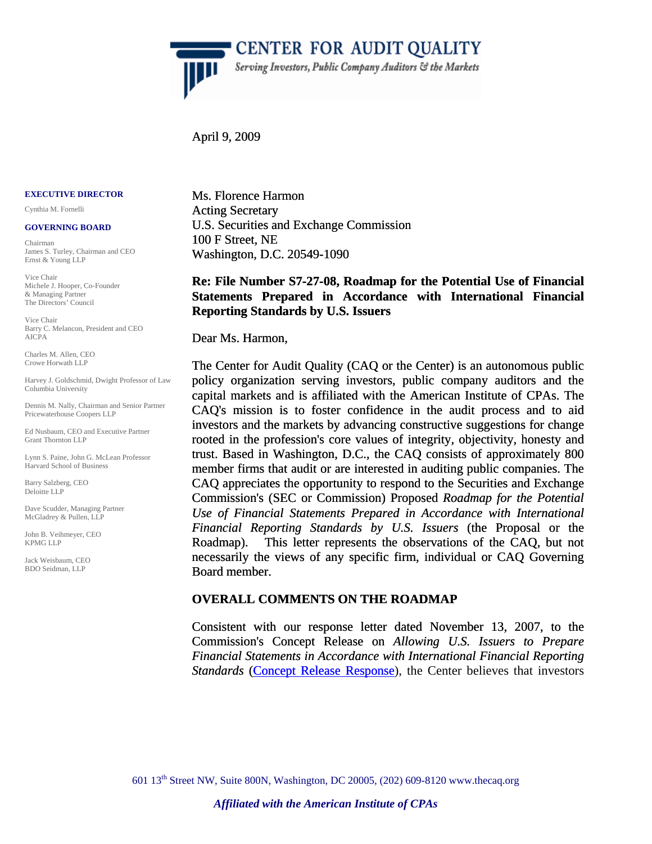

April 9, 2009

 $\overline{\mathbb{P}}$ 

#### **EXECUTIVE DIRECTOR**

Cynthia M. Fornelli

#### **GOVERNING BOARD**

Chairman James S. Turley, Chairman and CEO Ernst & Young LLP

Vice Chair Michele J. Hooper, Co-Founder & Managing Partner The Directors' Council

Vice Chair Barry C. Melancon, President and CEO AICPA

Charles M. Allen, CEO Crowe Horwath LLP

Harvey J. Goldschmid, Dwight Professor of Law Columbia University

Dennis M. Nally, Chairman and Senior Partner Pricewaterhouse Coopers LLP

Ed Nusbaum, CEO and Executive Partner Grant Thornton LLP

Lynn S. Paine, John G. McLean Professor Harvard School of Business

Barry Salzberg, CEO Deloitte LLP

Dave Scudder, Managing Partner McGladrey & Pullen, LLP

John B. Veihmeyer, CEO KPMG LLP

Jack Weisbaum, CEO BDO Seidman, LLP

Ms. Florence Harmon Acting Secretary U.S. Securities and Exchange Commission 100 F Street, NE Washington, D.C. 20549-1090

## **Re: File Number S7-27-08, Roadmap for the Potential Use of Financial Statements Prepared in Accordance with International Financial Reporting Standards by U.S. Issuers**

Dear Ms. Harmon,

The Center for Audit Quality (CAQ or the Center) is an autonomous public policy organization serving investors, public company auditors and the capital markets and is affiliated with the American Institute of CPAs. The CAQ's mission is to foster confidence in the audit process and to aid investors and the markets by advancing constructive suggestions for change rooted in the profession's core values of integrity, objectivity, honesty and trust. Based in Washington, D.C., the CAQ consists of approximately 800 member firms that audit or are interested in auditing public companies. The CAQ appreciates the opportunity to respond to the Securities and Exchange Commission's (SEC or Commission) Proposed *Roadmap for the Potential Use of Financial Statements Prepared in Accordance with International Financial Reporting Standards by U.S. Issuers* (the Proposal or the Roadmap). This letter represents the observations of the CAQ, but not necessarily the views of any specific firm, individual or CAQ Governing Board member.

#### **OVERALL COMMENTS ON THE ROADMAP**

[Consistent with our response letter dated November 13, 2007, to the](http://thecaq.org/members/pdfs/CAQ_Comment_Letter_US_Co_Using_IFRS.pdf)  Commission's Concept Release on *[Allowing U.S. Issuers to Prepare](http://thecaq.org/members/pdfs/CAQ_Comment_Letter_US_Co_Using_IFRS.pdf)  [Financial Statements in Accordance with International Financial Reporting](http://thecaq.org/members/pdfs/CAQ_Comment_Letter_US_Co_Using_IFRS.pdf)*  [Standards](http://thecaq.org/members/pdfs/CAQ_Comment_Letter_US_Co_Using_IFRS.pdf) ([Concept Release Response](http://thecaq.org/members/pdfs/CAQ_Comment_Letter_US_Co_Using_IFRS.pdf)), the Center believes that investors

601 13th Street NW, Suite 800N, Washington, DC 20005, (202) 609-8120 www.thecaq.org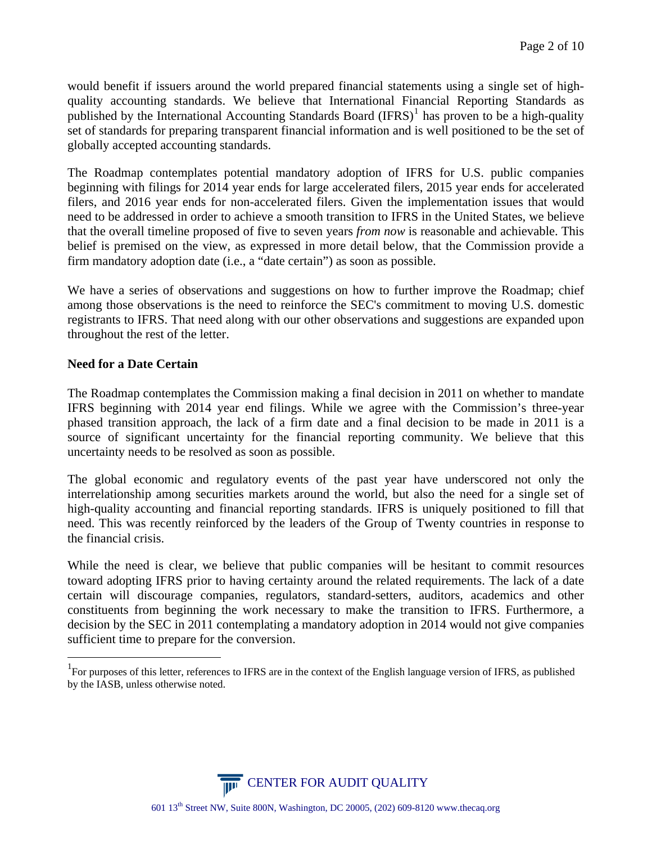[would benefit if issuers around the world prepared financial statements using a single set of high](#page-1-0)[quality accounting standards. We believe that International Financial Reporting Standards as](#page-1-0)  published by the International Accounting Standards Board  $(IFRS)^1$  has proven to be a high-quality [set of standards for preparing transparent financial information and is well positioned to be the set of](#page-1-0)  [globally accepted accounting standards.](#page-1-0) 

The Roadmap contemplates potential mandatory adoption of IFRS for U.S. public companies beginning with filings for 2014 year ends for large accelerated filers, 2015 year ends for accelerated filers, and 2016 year ends for non-accelerated filers. Given the implementation issues that would need to be addressed in order to achieve a smooth transition to IFRS in the United States, we believe that the overall timeline proposed of five to seven years *from now* is reasonable and achievable. This belief is premised on the view, as expressed in more detail below, that the Commission provide a firm mandatory adoption date (i.e., a "date certain") as soon as possible.

We have a series of observations and suggestions on how to further improve the Roadmap; chief among those observations is the need to reinforce the SEC's commitment to moving U.S. domestic registrants to IFRS. That need along with our other observations and suggestions are expanded upon throughout the rest of the letter.

# **Need for a Date Certain**

1

The Roadmap contemplates the Commission making a final decision in 2011 on whether to mandate IFRS beginning with 2014 year end filings. While we agree with the Commission's three-year phased transition approach, the lack of a firm date and a final decision to be made in 2011 is a source of significant uncertainty for the financial reporting community. We believe that this uncertainty needs to be resolved as soon as possible.

The global economic and regulatory events of the past year have underscored not only the interrelationship among securities markets around the world, but also the need for a single set of high-quality accounting and financial reporting standards. IFRS is uniquely positioned to fill that need. This was recently reinforced by the leaders of the Group of Twenty countries in response to the financial crisis.

While the need is clear, we believe that public companies will be hesitant to commit resources toward adopting IFRS prior to having certainty around the related requirements. The lack of a date certain will discourage companies, regulators, standard-setters, auditors, academics and other constituents from beginning the work necessary to make the transition to IFRS. Furthermore, a decision by the SEC in 2011 contemplating a mandatory adoption in 2014 would not give companies sufficient time to prepare for the conversion.



<span id="page-1-0"></span><sup>&</sup>lt;sup>1</sup> For purposes of this letter, references to IFRS are in the context of the English language version of IFRS, as published by the IASB, unless otherwise noted.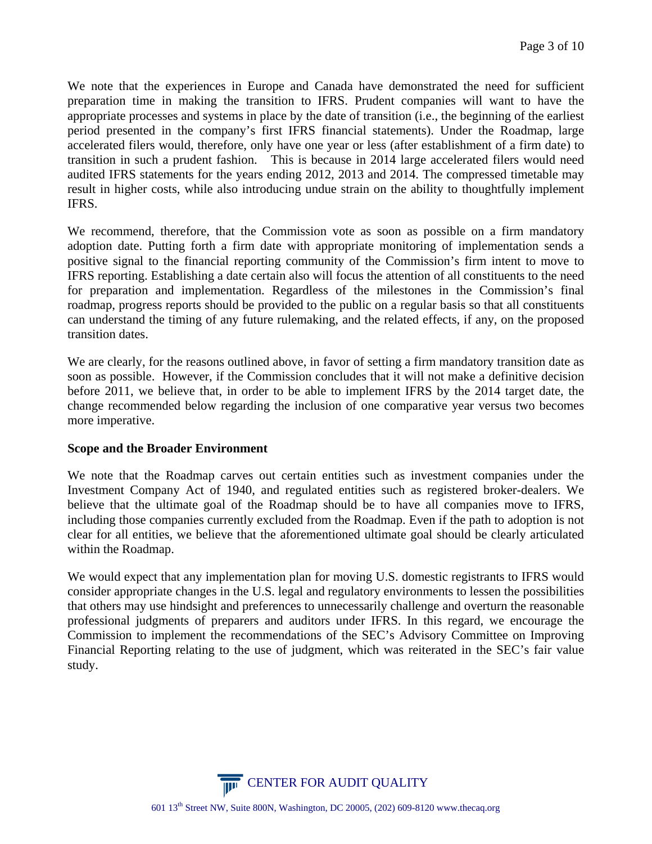We note that the experiences in Europe and Canada have demonstrated the need for sufficient preparation time in making the transition to IFRS. Prudent companies will want to have the appropriate processes and systems in place by the date of transition (i.e., the beginning of the earliest period presented in the company's first IFRS financial statements). Under the Roadmap, large accelerated filers would, therefore, only have one year or less (after establishment of a firm date) to transition in such a prudent fashion. This is because in 2014 large accelerated filers would need audited IFRS statements for the years ending 2012, 2013 and 2014. The compressed timetable may result in higher costs, while also introducing undue strain on the ability to thoughtfully implement IFRS.

We recommend, therefore, that the Commission vote as soon as possible on a firm mandatory adoption date. Putting forth a firm date with appropriate monitoring of implementation sends a positive signal to the financial reporting community of the Commission's firm intent to move to IFRS reporting. Establishing a date certain also will focus the attention of all constituents to the need for preparation and implementation. Regardless of the milestones in the Commission's final roadmap, progress reports should be provided to the public on a regular basis so that all constituents can understand the timing of any future rulemaking, and the related effects, if any, on the proposed transition dates.

We are clearly, for the reasons outlined above, in favor of setting a firm mandatory transition date as soon as possible. However, if the Commission concludes that it will not make a definitive decision before 2011, we believe that, in order to be able to implement IFRS by the 2014 target date, the change recommended below regarding the inclusion of one comparative year versus two becomes more imperative.

## **Scope and the Broader Environment**

We note that the Roadmap carves out certain entities such as investment companies under the Investment Company Act of 1940, and regulated entities such as registered broker-dealers. We believe that the ultimate goal of the Roadmap should be to have all companies move to IFRS, including those companies currently excluded from the Roadmap. Even if the path to adoption is not clear for all entities, we believe that the aforementioned ultimate goal should be clearly articulated within the Roadmap.

We would expect that any implementation plan for moving U.S. domestic registrants to IFRS would consider appropriate changes in the U.S. legal and regulatory environments to lessen the possibilities that others may use hindsight and preferences to unnecessarily challenge and overturn the reasonable professional judgments of preparers and auditors under IFRS. In this regard, we encourage the Commission to implement the recommendations of the SEC's Advisory Committee on Improving Financial Reporting relating to the use of judgment, which was reiterated in the SEC's fair value study.

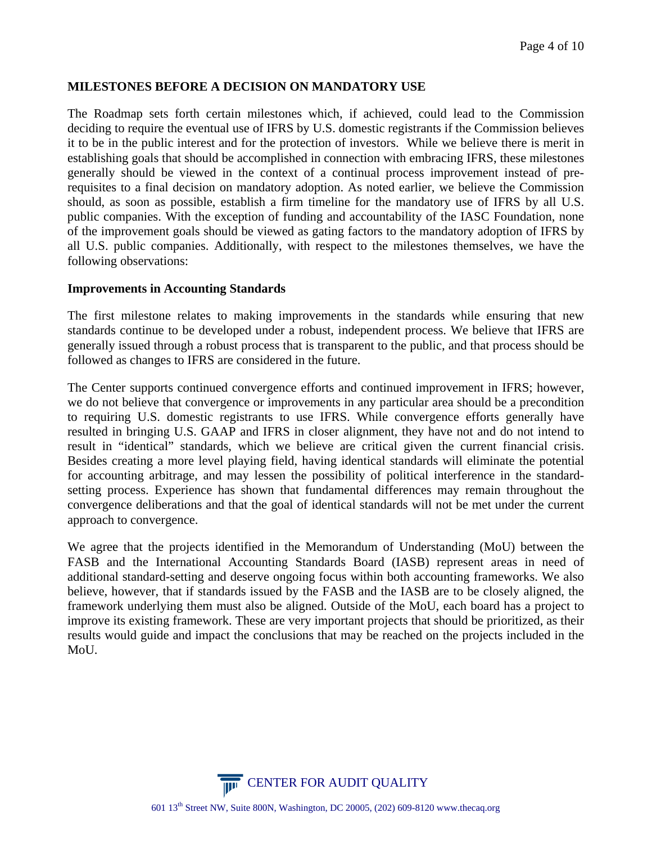# **MILESTONES BEFORE A DECISION ON MANDATORY USE**

The Roadmap sets forth certain milestones which, if achieved, could lead to the Commission deciding to require the eventual use of IFRS by U.S. domestic registrants if the Commission believes it to be in the public interest and for the protection of investors. While we believe there is merit in establishing goals that should be accomplished in connection with embracing IFRS, these milestones generally should be viewed in the context of a continual process improvement instead of prerequisites to a final decision on mandatory adoption. As noted earlier, we believe the Commission should, as soon as possible, establish a firm timeline for the mandatory use of IFRS by all U.S. public companies. With the exception of funding and accountability of the IASC Foundation, none of the improvement goals should be viewed as gating factors to the mandatory adoption of IFRS by all U.S. public companies. Additionally, with respect to the milestones themselves, we have the following observations:

#### **Improvements in Accounting Standards**

The first milestone relates to making improvements in the standards while ensuring that new standards continue to be developed under a robust, independent process. We believe that IFRS are generally issued through a robust process that is transparent to the public, and that process should be followed as changes to IFRS are considered in the future.

The Center supports continued convergence efforts and continued improvement in IFRS; however, we do not believe that convergence or improvements in any particular area should be a precondition to requiring U.S. domestic registrants to use IFRS. While convergence efforts generally have resulted in bringing U.S. GAAP and IFRS in closer alignment, they have not and do not intend to result in "identical" standards, which we believe are critical given the current financial crisis. Besides creating a more level playing field, having identical standards will eliminate the potential for accounting arbitrage, and may lessen the possibility of political interference in the standardsetting process. Experience has shown that fundamental differences may remain throughout the convergence deliberations and that the goal of identical standards will not be met under the current approach to convergence.

We agree that the projects identified in the Memorandum of Understanding (MoU) between the FASB and the International Accounting Standards Board (IASB) represent areas in need of additional standard-setting and deserve ongoing focus within both accounting frameworks. We also believe, however, that if standards issued by the FASB and the IASB are to be closely aligned, the framework underlying them must also be aligned. Outside of the MoU, each board has a project to improve its existing framework. These are very important projects that should be prioritized, as their results would guide and impact the conclusions that may be reached on the projects included in the MoU.

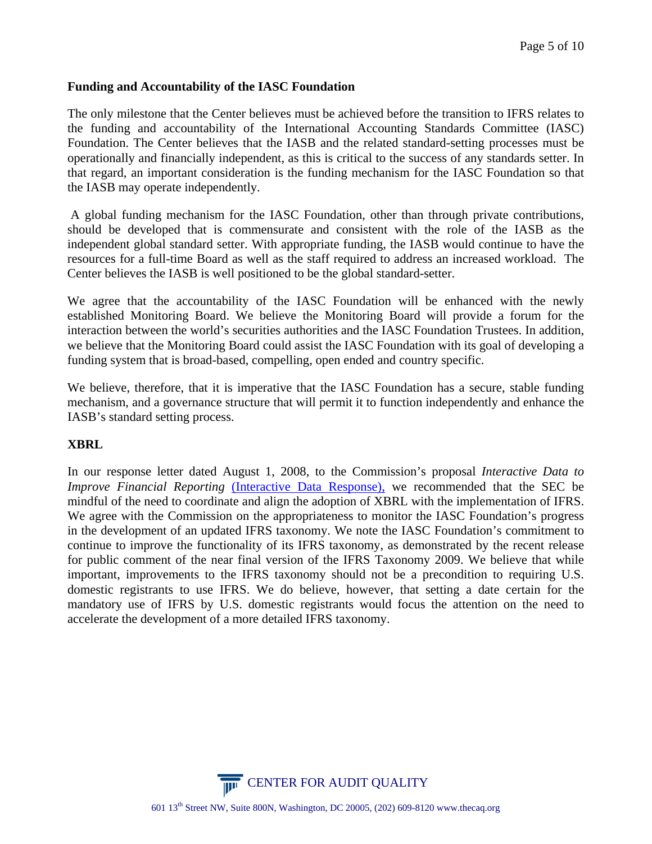# **Funding and Accountability of the IASC Foundation**

The only milestone that the Center believes must be achieved before the transition to IFRS relates to the funding and accountability of the International Accounting Standards Committee (IASC) Foundation. The Center believes that the IASB and the related standard-setting processes must be operationally and financially independent, as this is critical to the success of any standards setter. In that regard, an important consideration is the funding mechanism for the IASC Foundation so that the IASB may operate independently.

 A global funding mechanism for the IASC Foundation, other than through private contributions, should be developed that is commensurate and consistent with the role of the IASB as the independent global standard setter. With appropriate funding, the IASB would continue to have the resources for a full-time Board as well as the staff required to address an increased workload. The Center believes the IASB is well positioned to be the global standard-setter.

We agree that the accountability of the IASC Foundation will be enhanced with the newly established Monitoring Board. We believe the Monitoring Board will provide a forum for the interaction between the world's securities authorities and the IASC Foundation Trustees. In addition, we believe that the Monitoring Board could assist the IASC Foundation with its goal of developing a funding system that is broad-based, compelling, open ended and country specific.

We believe, therefore, that it is imperative that the IASC Foundation has a secure, stable funding mechanism, and a governance structure that will permit it to function independently and enhance the IASB's standard setting process.

## **XBRL**

In our response letter dated August 1, 2008, to the Commission's proposal *Interactive Data to Improve Financial Reporting (Interactive Data Response)*, we recommended that the SEC be mindful of the need to coordinate and align the adoption of XBRL with the implementation of IFRS. We agree with the Commission on the appropriateness to monitor the IASC Foundation's progress in the development of an updated IFRS taxonomy. We note the IASC Foundation's commitment to continue to improve the functionality of its IFRS taxonomy, as demonstrated by the recent release for public comment of the near final version of the IFRS Taxonomy 2009. We believe that while important, improvements to the IFRS taxonomy should not be a precondition to requiring U.S. domestic registrants to use IFRS. We do believe, however, that setting a date certain for the mandatory use of IFRS by U.S. domestic registrants would focus the attention on the need to accelerate the development of a more detailed IFRS taxonomy.

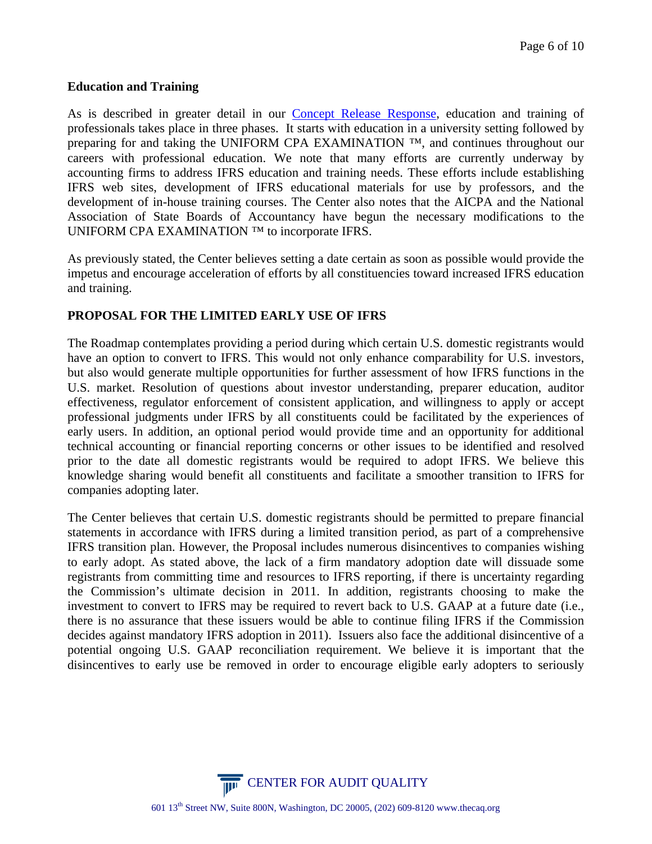## **Education and Training**

As is described in greater detail in our [Concept Release Response,](http://thecaq.org/members/pdfs/CAQ_Comment_Letter_US_Co_Using_IFRS.pdf) education and training of professionals takes place in three phases. It starts with education in a university setting followed by preparing for and taking the UNIFORM CPA EXAMINATION <sup>™</sup>, and continues throughout our careers with professional education. We note that many efforts are currently underway by accounting firms to address IFRS education and training needs. These efforts include establishing IFRS web sites, development of IFRS educational materials for use by professors, and the development of in-house training courses. The Center also notes that the AICPA and the National Association of State Boards of Accountancy have begun the necessary modifications to the UNIFORM CPA EXAMINATION ™ to incorporate IFRS.

As previously stated, the Center believes setting a date certain as soon as possible would provide the impetus and encourage acceleration of efforts by all constituencies toward increased IFRS education and training.

# **PROPOSAL FOR THE LIMITED EARLY USE OF IFRS**

The Roadmap contemplates providing a period during which certain U.S. domestic registrants would have an option to convert to IFRS. This would not only enhance comparability for U.S. investors, but also would generate multiple opportunities for further assessment of how IFRS functions in the U.S. market. Resolution of questions about investor understanding, preparer education, auditor effectiveness, regulator enforcement of consistent application, and willingness to apply or accept professional judgments under IFRS by all constituents could be facilitated by the experiences of early users. In addition, an optional period would provide time and an opportunity for additional technical accounting or financial reporting concerns or other issues to be identified and resolved prior to the date all domestic registrants would be required to adopt IFRS. We believe this knowledge sharing would benefit all constituents and facilitate a smoother transition to IFRS for companies adopting later.

The Center believes that certain U.S. domestic registrants should be permitted to prepare financial statements in accordance with IFRS during a limited transition period, as part of a comprehensive IFRS transition plan. However, the Proposal includes numerous disincentives to companies wishing to early adopt. As stated above, the lack of a firm mandatory adoption date will dissuade some registrants from committing time and resources to IFRS reporting, if there is uncertainty regarding the Commission's ultimate decision in 2011. In addition, registrants choosing to make the investment to convert to IFRS may be required to revert back to U.S. GAAP at a future date (i.e., there is no assurance that these issuers would be able to continue filing IFRS if the Commission decides against mandatory IFRS adoption in 2011). Issuers also face the additional disincentive of a potential ongoing U.S. GAAP reconciliation requirement. We believe it is important that the disincentives to early use be removed in order to encourage eligible early adopters to seriously

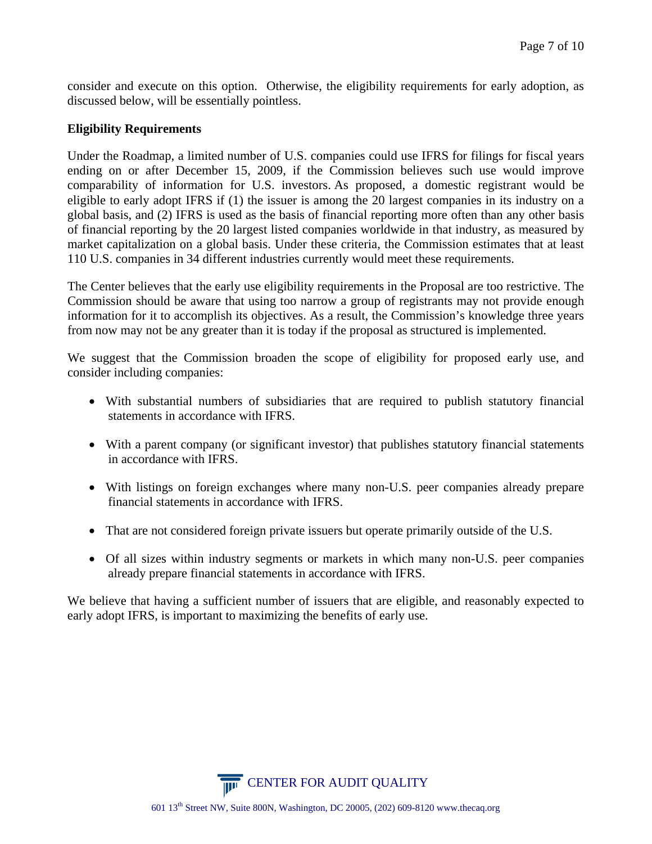consider and execute on this option. Otherwise, the eligibility requirements for early adoption, as discussed below, will be essentially pointless.

## **Eligibility Requirements**

Under the Roadmap, a limited number of U.S. companies could use IFRS for filings for fiscal years ending on or after December 15, 2009, if the Commission believes such use would improve comparability of information for U.S. investors. As proposed, a domestic registrant would be eligible to early adopt IFRS if (1) the issuer is among the 20 largest companies in its industry on a global basis, and (2) IFRS is used as the basis of financial reporting more often than any other basis of financial reporting by the 20 largest listed companies worldwide in that industry, as measured by market capitalization on a global basis. Under these criteria, the Commission estimates that at least 110 U.S. companies in 34 different industries currently would meet these requirements.

The Center believes that the early use eligibility requirements in the Proposal are too restrictive. The Commission should be aware that using too narrow a group of registrants may not provide enough information for it to accomplish its objectives. As a result, the Commission's knowledge three years from now may not be any greater than it is today if the proposal as structured is implemented.

We suggest that the Commission broaden the scope of eligibility for proposed early use, and consider including companies:

- With substantial numbers of subsidiaries that are required to publish statutory financial statements in accordance with IFRS.
- With a parent company (or significant investor) that publishes statutory financial statements in accordance with IFRS.
- With listings on foreign exchanges where many non-U.S. peer companies already prepare financial statements in accordance with IFRS.
- That are not considered foreign private issuers but operate primarily outside of the U.S.
- Of all sizes within industry segments or markets in which many non-U.S. peer companies already prepare financial statements in accordance with IFRS.

We believe that having a sufficient number of issuers that are eligible, and reasonably expected to early adopt IFRS, is important to maximizing the benefits of early use.

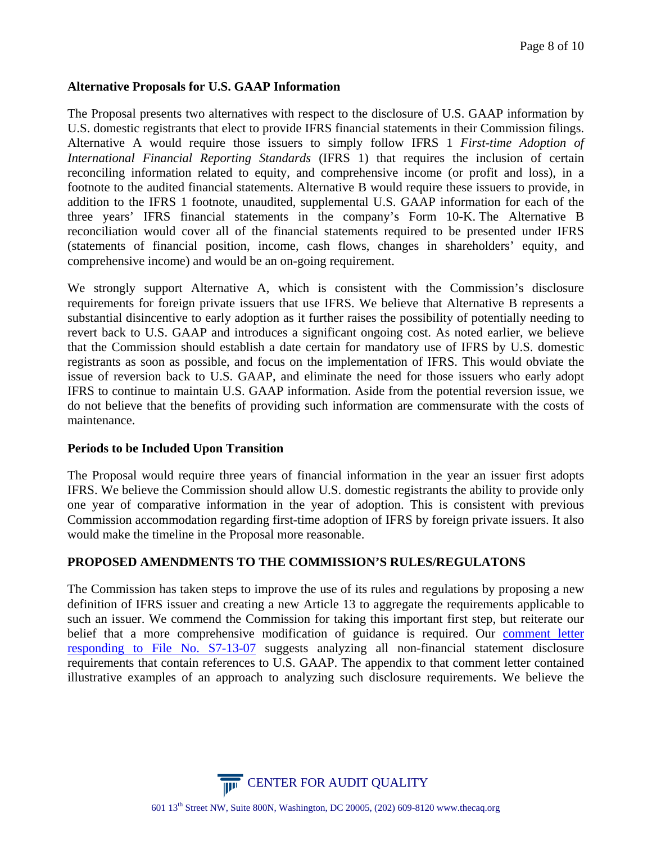# **Alternative Proposals for U.S. GAAP Information**

The Proposal presents two alternatives with respect to the disclosure of U.S. GAAP information by U.S. domestic registrants that elect to provide IFRS financial statements in their Commission filings. Alternative A would require those issuers to simply follow IFRS 1 *First-time Adoption of International Financial Reporting Standards* (IFRS 1) that requires the inclusion of certain reconciling information related to equity, and comprehensive income (or profit and loss), in a footnote to the audited financial statements. Alternative B would require these issuers to provide, in addition to the IFRS 1 footnote, unaudited, supplemental U.S. GAAP information for each of the three years' IFRS financial statements in the company's Form 10-K. The Alternative B reconciliation would cover all of the financial statements required to be presented under IFRS (statements of financial position, income, cash flows, changes in shareholders' equity, and comprehensive income) and would be an on-going requirement.

We strongly support Alternative A, which is consistent with the Commission's disclosure requirements for foreign private issuers that use IFRS. We believe that Alternative B represents a substantial disincentive to early adoption as it further raises the possibility of potentially needing to revert back to U.S. GAAP and introduces a significant ongoing cost. As noted earlier, we believe that the Commission should establish a date certain for mandatory use of IFRS by U.S. domestic registrants as soon as possible, and focus on the implementation of IFRS. This would obviate the issue of reversion back to U.S. GAAP, and eliminate the need for those issuers who early adopt IFRS to continue to maintain U.S. GAAP information. Aside from the potential reversion issue, we do not believe that the benefits of providing such information are commensurate with the costs of maintenance.

## **Periods to be Included Upon Transition**

The Proposal would require three years of financial information in the year an issuer first adopts IFRS. We believe the Commission should allow U.S. domestic registrants the ability to provide only one year of comparative information in the year of adoption. This is consistent with previous Commission accommodation regarding first-time adoption of IFRS by foreign private issuers. It also would make the timeline in the Proposal more reasonable.

## **PROPOSED AMENDMENTS TO THE COMMISSION'S RULES/REGULATONS**

The Commission has taken steps to improve the use of its rules and regulations by proposing a new definition of IFRS issuer and creating a new Article 13 to aggregate the requirements applicable to such an issuer. We commend the Commission for taking this important first step, but reiterate our belief that a more comprehensive modification of guidance is required. Our [comment letter](http://thecaq.org/members/pdfs/CAQ%20CL%20on%20GAAP%20Rec%20Elimination.pdf)  [responding to File No. S7-13-07](http://thecaq.org/members/pdfs/CAQ%20CL%20on%20GAAP%20Rec%20Elimination.pdf) suggests analyzing all non-financial statement disclosure requirements that contain references to U.S. GAAP. The appendix to that comment letter contained illustrative examples of an approach to analyzing such disclosure requirements. We believe the

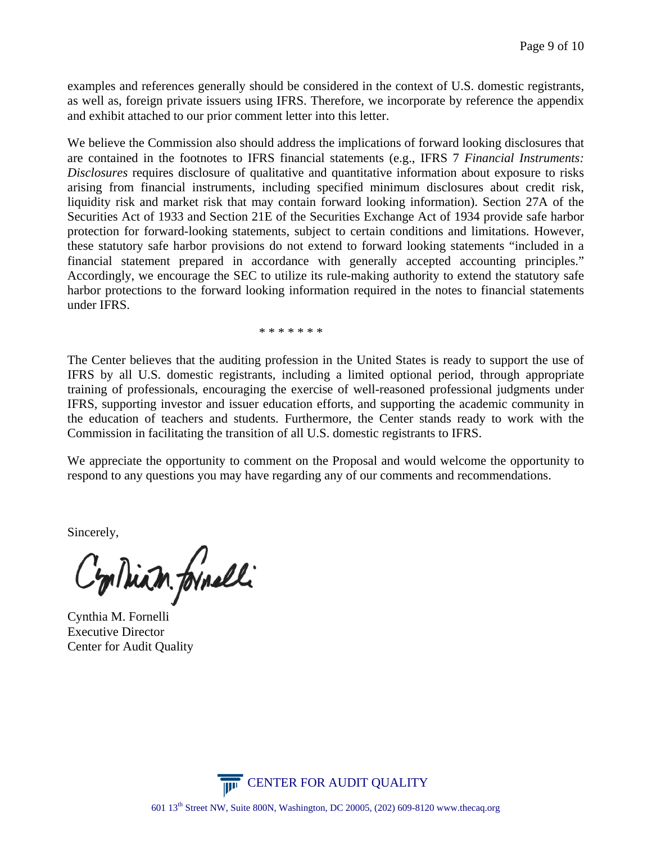examples and references generally should be considered in the context of U.S. domestic registrants, as well as, foreign private issuers using IFRS. Therefore, we incorporate by reference the appendix and exhibit attached to our prior comment letter into this letter.

We believe the Commission also should address the implications of forward looking disclosures that are contained in the footnotes to IFRS financial statements (e.g., IFRS 7 *Financial Instruments: Disclosures* requires disclosure of qualitative and quantitative information about exposure to risks arising from financial instruments, including specified minimum disclosures about credit risk, liquidity risk and market risk that may contain forward looking information). Section 27A of the Securities Act of 1933 and Section 21E of the Securities Exchange Act of 1934 provide safe harbor protection for forward-looking statements, subject to certain conditions and limitations. However, these statutory safe harbor provisions do not extend to forward looking statements "included in a financial statement prepared in accordance with generally accepted accounting principles." Accordingly, we encourage the SEC to utilize its rule-making authority to extend the statutory safe harbor protections to the forward looking information required in the notes to financial statements under IFRS.

\* \* \* \* \* \* \*

The Center believes that the auditing profession in the United States is ready to support the use of IFRS by all U.S. domestic registrants, including a limited optional period, through appropriate training of professionals, encouraging the exercise of well-reasoned professional judgments under IFRS, supporting investor and issuer education efforts, and supporting the academic community in the education of teachers and students. Furthermore, the Center stands ready to work with the Commission in facilitating the transition of all U.S. domestic registrants to IFRS.

We appreciate the opportunity to comment on the Proposal and would welcome the opportunity to respond to any questions you may have regarding any of our comments and recommendations.

Sincerely,

Cyplair formelli

Cynthia M. Fornelli Executive Director Center for Audit Quality